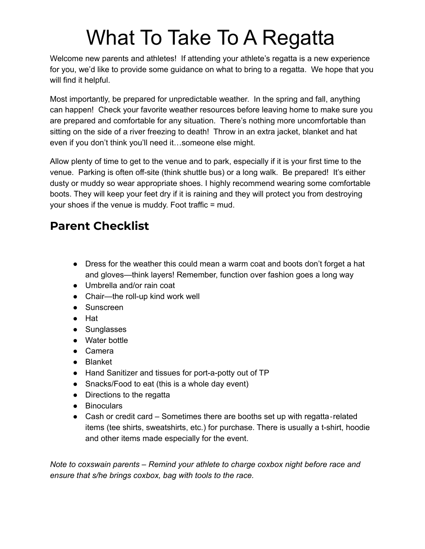## What To Take To A Regatta

Welcome new parents and athletes! If attending your athlete's regatta is a new experience for you, we'd like to provide some guidance on what to bring to a regatta. We hope that you will find it helpful.

Most importantly, be prepared for unpredictable weather. In the spring and fall, anything can happen! Check your favorite weather resources before leaving home to make sure you are prepared and comfortable for any situation. There's nothing more uncomfortable than sitting on the side of a river freezing to death! Throw in an extra jacket, blanket and hat even if you don't think you'll need it…someone else might.

Allow plenty of time to get to the venue and to park, especially if it is your first time to the venue. Parking is often off-site (think shuttle bus) or a long walk. Be prepared! It's either dusty or muddy so wear appropriate shoes. I highly recommend wearing some comfortable boots. They will keep your feet dry if it is raining and they will protect you from destroying your shoes if the venue is muddy. Foot traffic = mud.

## **Parent Checklist**

- Dress for the weather this could mean a warm coat and boots don't forget a hat and gloves—think layers! Remember, function over fashion goes a long way
- Umbrella and/or rain coat
- Chair—the roll-up kind work well
- Sunscreen
- Hat
- Sunglasses
- Water bottle
- Camera
- Blanket
- Hand Sanitizer and tissues for port-a-potty out of TP
- Snacks/Food to eat (this is a whole day event)
- Directions to the regatta
- Binoculars
- Cash or credit card Sometimes there are booths set up with regatta-related items (tee shirts, sweatshirts, etc.) for purchase. There is usually a t-shirt, hoodie and other items made especially for the event.

*Note to coxswain parents – Remind your athlete to charge coxbox night before race and ensure that s/he brings coxbox, bag with tools to the race.*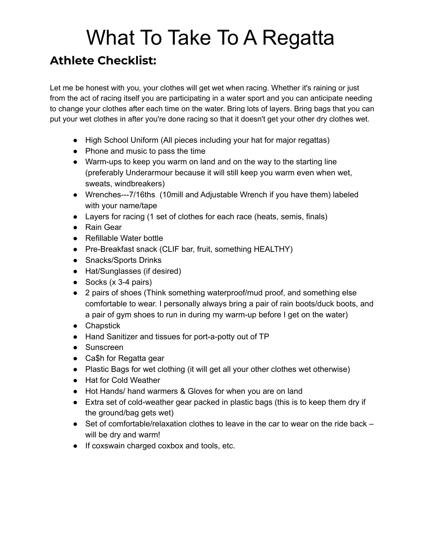## What To Take To A Regatta **Athlete Checklist:**

Let me be honest with you, your clothes will get wet when racing. Whether it's raining or just from the act of racing itself you are participating in a water sport and you can anticipate needing to change your clothes after each time on the water. Bring lots of layers. Bring bags that you can put your wet clothes in after you're done racing so that it doesn't get your other dry clothes wet.

- High School Uniform (All pieces including your hat for major regattas)
- Phone and music to pass the time
- Warm-ups to keep you warm on land and on the way to the starting line (preferably Underarmour because it will still keep you warm even when wet, sweats, windbreakers)
- Wrenches---7/16ths (10mill and Adjustable Wrench if you have them) labeled with your name/tape
- Layers for racing (1 set of clothes for each race (heats, semis, finals)
- Rain Gear
- Refillable Water bottle
- Pre-Breakfast snack (CLIF bar, fruit, something HEALTHY)
- Snacks/Sports Drinks
- Hat/Sunglasses (if desired)
- Socks (x 3-4 pairs)
- 2 pairs of shoes (Think something waterproof/mud proof, and something else comfortable to wear. I personally always bring a pair of rain boots/duck boots, and a pair of gym shoes to run in during my warm-up before I get on the water)
- Chapstick
- Hand Sanitizer and tissues for port-a-potty out of TP
- Sunscreen
- Ca\$h for Regatta gear
- Plastic Bags for wet clothing (it will get all your other clothes wet otherwise)
- Hat for Cold Weather
- Hot Hands/ hand warmers & Gloves for when you are on land
- Extra set of cold-weather gear packed in plastic bags (this is to keep them dry if the ground/bag gets wet)
- $\bullet$  Set of comfortable/relaxation clothes to leave in the car to wear on the ride back  $$ will be dry and warm!
- If coxswain charged coxbox and tools, etc.